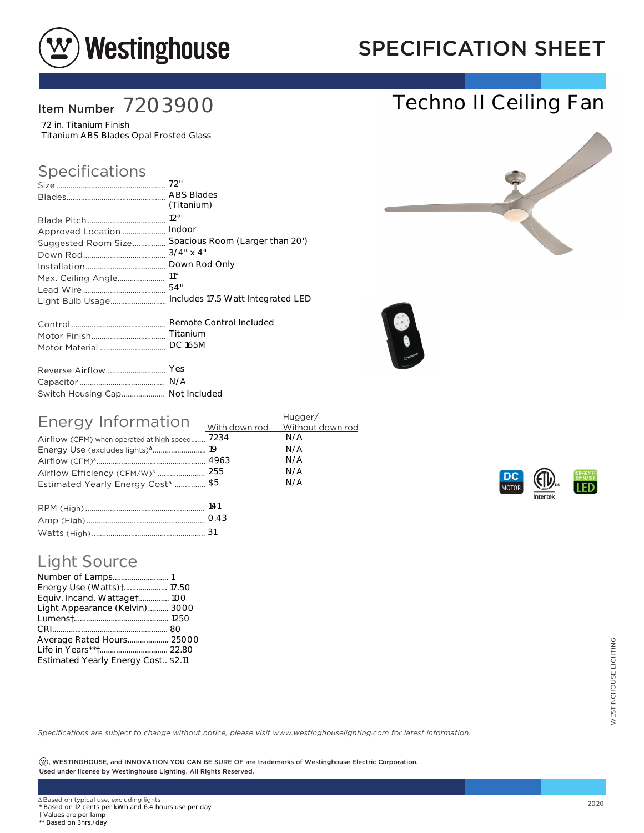

# SPECIFICATION SHEET

Techno II Ceiling Fan

### Item Number 7203900

72 in. Titanium Finish Titanium ABS Blades Opal Frosted Glass

#### Specifications

|                                 | (Titanium)                        |
|---------------------------------|-----------------------------------|
|                                 | $12^{\circ}$                      |
| Approved Location               | Indoor                            |
| Suggested Room Size             | Spacious Room (Larger than 20')   |
|                                 | $3/4$ " x 4"                      |
|                                 |                                   |
|                                 | $11^{\circ}$                      |
|                                 | 54"                               |
| Light Bulb Usage                | Includes 17.5 Watt Integrated LED |
|                                 |                                   |
|                                 | Titanium                          |
| Motor Material                  | <b>DC 165M</b>                    |
|                                 | Yes                               |
|                                 | N/A                               |
| Switch Housing Cap Not Included |                                   |
|                                 |                                   |





| Energy Information                             | Hugger/ |     |
|------------------------------------------------|---------|-----|
|                                                |         |     |
| Airflow (CFM) when operated at high speed 7234 |         | N/A |
|                                                |         | N/A |
|                                                |         | N/A |
|                                                |         | N/A |
| Estimated Yearly Energy Cost <sup>4</sup> \$5  |         | N/A |
|                                                |         |     |
| $\sum_{i=1}^{n}$                               | 1 4 1   |     |

| 141  |
|------|
| 0.43 |
|      |

#### Light Source

| <b>Light Source</b><br>Energy Use (Watts) + 17.50<br>Equiv. Incand. Wattaget 100<br>Light Appearance (Kelvin) 3000<br>Average Rated Hours 25000<br>Estimated Yearly Energy Cost., \$2.11                                                          |      |
|---------------------------------------------------------------------------------------------------------------------------------------------------------------------------------------------------------------------------------------------------|------|
| Specifications are subject to change without notice, please visit www.westinghouselighting.com for latest information.<br>$(\mathfrak{B})$ , WESTINGHOUSE, and INNOVATION YOU CAN BE SURE OF are trademarks of Westinghouse Electric Corporation. |      |
| Used under license by Westinghouse Lighting. All Rights Reserved.                                                                                                                                                                                 |      |
|                                                                                                                                                                                                                                                   |      |
| ∆ Based on typical use, excluding lights<br>* Based on 12 cents per kWh and 6.4 hours use per day<br>† Values are per lamp<br>** Based on 3hrs./day                                                                                               | 2020 |



† Values are per lamp